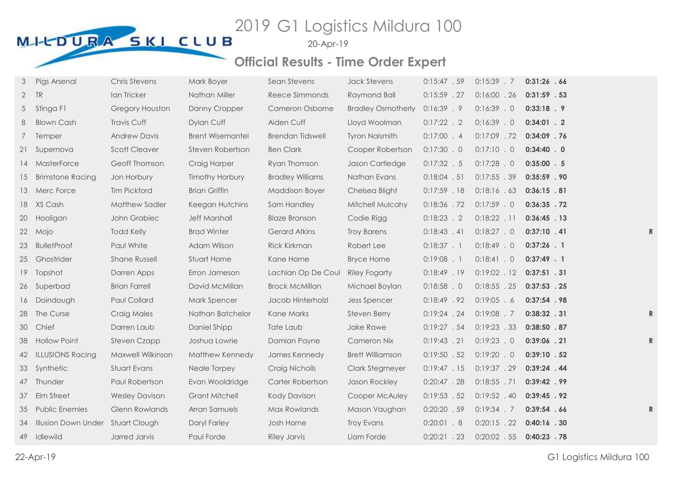20-Apr-19

| 3               | Pigs Arsenal                      | <b>Chris Stevens</b>  | Mark Boyer              | Sean Stevens            | <b>Jack Stevens</b>       | 0:15:47.59     | $0:15:39$ . 7  | 0:31:26.66     |  |
|-----------------|-----------------------------------|-----------------------|-------------------------|-------------------------|---------------------------|----------------|----------------|----------------|--|
| $\mathbf{2}$    | TR                                | Ian Tricker           | Nathan Miller           | Reece Simmonds          | Raymond Ball              | $0:15:59$ . 27 | $0:16:00$ . 26 | $0:31:59$ . 53 |  |
| 5               | Stinga F1                         | Gregory Houston       | Danny Cropper           | Cameron Osborne         | <b>Bradley Osmotherly</b> | 0:16:39.9      | $0:16:39$ . 0  | $0:33:18$ . 9  |  |
| 8               | <b>Blown Cash</b>                 | Travis Cuff           | Dylan Cuff              | Aiden Cuff              | Lloyd Woolman             | $0:17:22$ . 2  | $0:16:39$ . 0  | $0:34:01$ . 2  |  |
| $7\overline{ }$ | Temper                            | <b>Andrew Davis</b>   | <b>Brent Wisemantel</b> | <b>Brendan Tidswell</b> | <b>Tyron Naismith</b>     | $0:17:00$ . 4  | $0:17:09$ .72  | 0:34:09 .76    |  |
| 21              | Supernova                         | <b>Scott Cleaver</b>  | Steven Robertson        | <b>Ben Clark</b>        | Cooper Robertson          | 0:17:30.0      | 0:17:10.0      | 0:34:40.0      |  |
|                 | 14 MasterForce                    | Geoff Thomson         | Craig Harper            | Ryan Thomson            | Jason Cartledge           | $0:17:32$ . 5  | $0:17:28$ . 0  | $0:35:00$ . 5  |  |
| 15              | <b>Brimstone Racing</b>           | Jon Horbury           | Timothy Horbury         | <b>Bradley Williams</b> | Nathan Evans              | $0:18:04$ . 51 | 0:17:55 .39    | $0:35:59$ . 90 |  |
| 13              | Merc Force                        | <b>Tim Pickford</b>   | <b>Brian Griffin</b>    | <b>Maddison Boyer</b>   | Chelsea Blight            | $0:17:59$ . 18 | 0:18:16.63     | 0:36:15.81     |  |
|                 | 18 XS Cash                        | Matthew Sadler        | Keegan Hutchins         | Sam Handley             | Mitchell Mulcahy          | 0:18:36 .72    | $0:17:59$ . 0  | $0:36:35$ . 72 |  |
| 20              | Hooligan                          | John Grabiec          | <b>Jeff Marshall</b>    | <b>Blaze Branson</b>    | Codie Rigg                | $0:18:23$ . 2  | $0:18:22$ . 11 | $0:36:45$ . 13 |  |
| 22              | Mojo                              | <b>Todd Kelly</b>     | <b>Brad Winter</b>      | <b>Gerard Atkins</b>    | <b>Troy Barens</b>        | 0:18:43.41     | 0:18:27.0      | $0:37:10$ . 41 |  |
| 23              | <b>BulletProof</b>                | Paul White            | Adam Wilson             | <b>Rick Kirkman</b>     | Robert Lee                | $0:18:37$ . 1  | $0:18:49$ . 0  | $0:37:26$ . 1  |  |
| 25              | Ghostrider                        | Shane Russell         | Stuart Horne            | Kane Horne              | <b>Bryce Horne</b>        | $0:19:08$ . 1  | 0:18:41.0      | $0:37:49$ . 1  |  |
| 19              | Topshot                           | Darren Apps           | Erron Jameson           | Lachlan Op De Coul      | <b>Riley Fogarty</b>      | $0:18:49$ . 19 | $0:19:02$ . 12 | $0:37:51$ . 31 |  |
| 26              | Superbad                          | <b>Brian Farrell</b>  | David McMillan          | <b>Brock McMillan</b>   | Michael Boylan            | $0:18:58$ . 0  | $0:18:55$ . 25 | $0:37:53$ . 25 |  |
| 16              | Doindough                         | Paul Collard          | Mark Spencer            | Jacob Hinterholzl       | <b>Jess Spencer</b>       | 0:18:49.92     | $0:19:05$ . 6  | $0:37:54$ . 98 |  |
| 28              | The Curse                         | Craig Males           | Nathan Batchelor        | Kane Marks              | <b>Steven Berry</b>       | $0:19:24$ . 24 | $0:19:08$ . 7  | $0:38:32$ . 31 |  |
| 30              | Chief                             | Darren Laub           | Daniel Shipp            | Tate Laub               | Jake Rawe                 | 0:19:27.54     | 0:19:23.33     | 0:38:50.87     |  |
| 38              | <b>Hollow Point</b>               | <b>Steven Czapp</b>   | Joshua Lowrie           | Damian Payne            | Cameron Nix               | $0:19:43$ . 21 | $0:19:23$ . 0  | $0:39:06$ . 21 |  |
| 42              | <b>ILLUSIONS Racing</b>           | Maxwell Wilkinson     | Matthew Kennedy         | James Kennedy           | <b>Brett Williamson</b>   | $0:19:50$ . 52 | $0:19:20$ . 0  | 0:39:10 .52    |  |
| 33              | Synthetic                         | Stuart Evans          | Neale Torpey            | Craig Nicholls          | <b>Clark Stegmeyer</b>    | 0:19:47.15     | 0:19:37.29     | $0:39:24$ . 44 |  |
| 47              | Thunder                           | Paul Robertson        | Evan Wooldridge         | Carter Robertson        | Jason Rockley             | $0:20:47$ . 28 | $0:18:55$ .71  | $0:39:42$ . 99 |  |
| 37              | Elm Street                        | <b>Wesley Davison</b> | <b>Grant Mitchell</b>   | <b>Kody Davison</b>     | Cooper McAuley            | $0:19:53$ . 52 | $0:19:52$ . 40 | 0:39:45.92     |  |
| 35              | <b>Public Enemies</b>             | Glenn Rowlands        | Arran Samuels           | Max Rowlands            | Mason Vaughan             | $0:20:20$ . 59 | $0:19:34$ . 7  | 0:39:54.66     |  |
| 34              | Illusion Down Under Stuart Clough |                       | Daryl Farley            | Josh Horne              | <b>Troy Evans</b>         | $0:20:01$ . 8  | $0:20:15$ . 22 | $0:40:16$ . 30 |  |
| 49              | Idlewild                          | Jarred Jarvis         | Paul Forde              | <b>Riley Jarvis</b>     | Liam Forde                | $0:20:21$ . 23 | $0:20:02$ . 55 | $0:40:23$ .78  |  |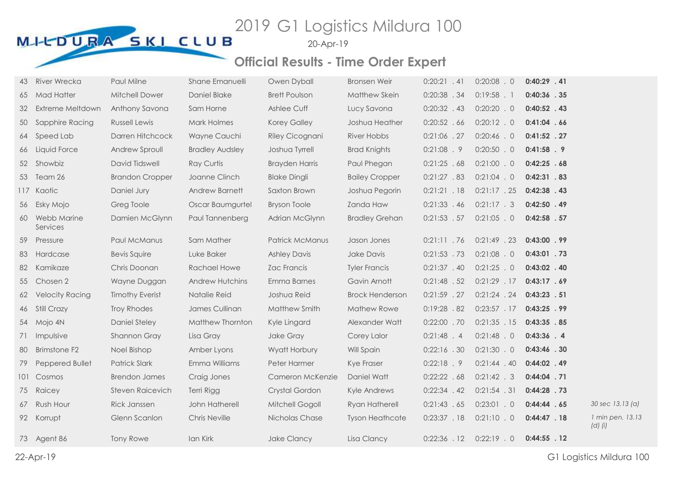20-Apr-19

| 43  | <b>River Wrecka</b>     | Paul Milne              | Shane Emanuelli        | Owen Dyball           | <b>Bronsen Weir</b>    | $0:20:21$ . 41 | $0:20:08$ . 0  | $0:40:29$ . 41 |                                 |
|-----|-------------------------|-------------------------|------------------------|-----------------------|------------------------|----------------|----------------|----------------|---------------------------------|
| 65  | <b>Mad Hatter</b>       | Mitchell Dower          | Daniel Blake           | <b>Brett Poulson</b>  | Matthew Skein          | $0:20:38$ . 34 | $0:19:58$ . 1  | $0:40:36$ . 35 |                                 |
| 32  | Extreme Meltdown        | Anthony Savona          | Sam Horne              | Ashlee Cuff           | Lucy Savona            | $0:20:32$ . 43 | $0:20:20$ . 0  | $0:40:52$ . 43 |                                 |
| 50  | Sapphire Racing         | <b>Russell Lewis</b>    | Mark Holmes            | <b>Korey Galley</b>   | Joshua Heather         | $0:20:52$ . 66 | $0:20:12$ . 0  | $0:41:04$ . 66 |                                 |
| 64  | Speed Lab               | Darren Hitchcock        | Wayne Cauchi           | Riley Cicognani       | River Hobbs            | 0:21:06 .27    | $0:20:46$ . 0  | $0:41:52$ . 27 |                                 |
| 66  | Liquid Force            | Andrew Sproull          | <b>Bradley Audsley</b> | Joshua Tyrrell        | <b>Brad Knights</b>    | 0:21:08.9      | $0:20:50$ . 0  | $0:41:58$ . 9  |                                 |
|     | 52 Showbiz              | David Tidswell          | <b>Ray Curtis</b>      | <b>Brayden Harris</b> | Paul Phegan            | 0:21:25.68     | $0:21:00$ . 0  | 0:42:25.68     |                                 |
| 53  | Team 26                 | <b>Brandon Cropper</b>  | Joanne Clinch          | <b>Blake Dingli</b>   | <b>Bailey Cropper</b>  | 0:21:27.83     | $0:21:04$ . 0  | $0:42:31$ . 83 |                                 |
|     | 117 Kaotic              | Daniel Jury             | Andrew Barnett         | Saxton Brown          | Joshua Pegorin         | 0:21:21.18     | $0:21:17$ . 25 | $0:42:38$ . 43 |                                 |
| 56  | Esky Mojo               | Greg Toole              | Oscar Baumgurtel       | <b>Bryson Toole</b>   | Zanda Haw              | $0:21:33$ . 46 | 0:21:17.3      | $0:42:50$ . 49 |                                 |
| 60  | Webb Marine<br>Services | Damien McGlynn          | Paul Tannenberg        | Adrian McGlynn        | <b>Bradley Grehan</b>  | $0:21:53$ . 57 | $0:21:05$ . 0  | $0:42:58$ . 57 |                                 |
| 59  | Pressure                | Paul McManus            | Sam Mather             | Patrick McManus       | Jason Jones            | $0:21:11$ .76  | $0:21:49$ . 23 | $0:43:00$ . 99 |                                 |
| 83  | Hardcase                | <b>Bevis Squire</b>     | Luke Baker             | <b>Ashley Davis</b>   | Jake Davis             | $0:21:53$ .73  | $0:21:08$ . 0  | $0:43:01$ . 73 |                                 |
| 82  | Kamikaze                | Chris Doonan            | <b>Rachael Howe</b>    | Zac Francis           | <b>Tyler Francis</b>   | $0:21:37$ . 40 | $0:21:25$ . 0  | $0:43:02$ . 40 |                                 |
| 55  | Chosen 2                | Wayne Duggan            | <b>Andrew Hutchins</b> | Emma Barnes           | Gavin Arnott           | 0:21:48.52     | $0:21:29$ . 17 | 0:43:17.69     |                                 |
| 62  | <b>Velocity Racing</b>  | <b>Timothy Everist</b>  | Natalie Reid           | Joshua Reid           | <b>Brock Henderson</b> | $0:21:59$ . 27 | $0:21:24$ . 24 | 0:43:23.51     |                                 |
| 46  | Still Crazy             | <b>Troy Rhodes</b>      | James Cullinan         | Matthew Smith         | Mathew Rowe            | 0:19:28.82     | $0:23:57$ . 17 | 0:43:25.99     |                                 |
| 54  | Mojo 4N                 | Daniel Steley           | Matthew Thornton       | Kyle Lingard          | Alexander Watt         | $0:22:00$ . 70 | $0:21:35$ . 15 | $0:43:35$ . 85 |                                 |
| 71  | Impulsive               | Shannon Gray            | Lisa Gray              | Jake Gray             | Corey Lalor            | $0:21:48$ . 4  | $0:21:48$ . 0  | 0:43:36 .4     |                                 |
| 80  | <b>Brimstone F2</b>     | Noel Bishop             | Amber Lyons            | Wyatt Horbury         | Will Spain             | $0:22:16$ . 30 | 0:21:30.0      | $0:43:46$ . 30 |                                 |
| 79  | Peppered Bullet         | <b>Patrick Slark</b>    | Emma Williams          | Peter Harmer          | Kye Fraser             | 0:22:18.9      | $0:21:44$ . 40 | $0:44:02$ . 49 |                                 |
| 101 | Cosmos                  | <b>Brendon James</b>    | Craig Jones            | Cameron McKenzie      | Daniel Watt            | 0:22:22.68     | $0:21:42$ . 3  | $0:44:04$ . 71 |                                 |
| 75  | Raicey                  | <b>Steven Raicevich</b> | <b>Terri Rigg</b>      | Crystal Gordon        | Kyle Andrews           | $0:22:34$ . 42 | 0:21:54.31     | $0:44:28$ . 73 |                                 |
| 67  | Rush Hour               | <b>Rick Janssen</b>     | John Hatherell         | Mitchell Gogoll       | Ryan Hatherell         | 0:21:43.65     | $0:23:01$ . 0  | 0:44:44.65     | 30 sec 13.13 (a)                |
|     | 92 Korrupt              | Glenn Scanlon           | <b>Chris Neville</b>   | Nicholas Chase        | <b>Tyson Heathcote</b> | 0:23:37.18     | $0:21:10$ . 0  | $0:44:47$ . 18 | 1 min pen. 13.13<br>$(d)$ $(i)$ |
|     | 73 Agent 86             | <b>Tony Rowe</b>        | Ian Kirk               | <b>Jake Clancy</b>    | Lisa Clancy            | $0:22:36$ . 12 | $0:22:19$ . 0  | $0:44:55$ . 12 |                                 |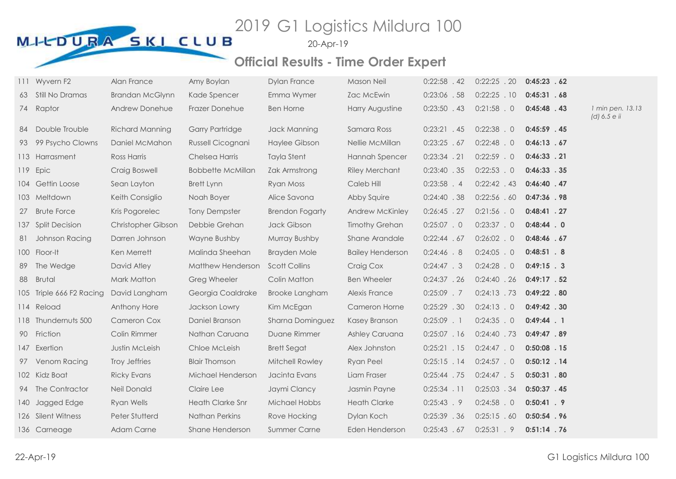20-Apr-19

|    | 111 Wyvern F2            | Alan France            | Amy Boylan               | <b>Dylan France</b>     | <b>Mason Neil</b>       | $0:22:58$ . 42 | $0:22:25$ . 20 | 0:45:23.62     |                                  |
|----|--------------------------|------------------------|--------------------------|-------------------------|-------------------------|----------------|----------------|----------------|----------------------------------|
|    | 63 Still No Dramas       | <b>Brandan McGlynn</b> | Kade Spencer             | Emma Wymer              | Zac McEwin              | 0:23:06 .58    | $0:22:25$ . 10 | 0:45:31.68     |                                  |
|    | 74 Raptor                | Andrew Donehue         | Frazer Donehue           | <b>Ben Horne</b>        | Harry Augustine         | $0:23:50$ . 43 | $0:21:58$ . 0  | $0:45:48$ . 43 | 1 min pen. 13.13<br>(d) 6.5 e ii |
| 84 | Double Trouble           | <b>Richard Manning</b> | <b>Garry Partridge</b>   | Jack Manning            | Samara Ross             | $0:23:21$ . 45 | $0:22:38$ . 0  | $0:45:59$ . 45 |                                  |
|    | 93 99 Psycho Clowns      | Daniel McMahon         | Russell Cicognani        | Haylee Gibson           | Nellie McMillan         | 0:23:25.67     | $0:22:48$ . 0  | 0:46:13.67     |                                  |
|    | 113 Harrasment           | Ross Harris            | Chelsea Harris           | <b>Tayla Stent</b>      | Hannah Spencer          | $0:23:34$ . 21 | $0:22:59$ . 0  | $0:46:33$ . 21 |                                  |
|    | 119 Epic                 | Craig Boswell          | <b>Bobbette McMillan</b> | Zak Armstrong           | <b>Riley Merchant</b>   | $0:23:40$ .35  | $0:22:53$ . 0  | 0:46:33.35     |                                  |
|    | 104 Gettin Loose         | Sean Layton            | Brett Lynn               | Ryan Moss               | Caleb Hill              | $0:23:58$ . 4  | $0:22:42$ . 43 | $0:46:40$ . 47 |                                  |
|    | 103 Meltdown             | Keith Consiglio        | Noah Boyer               | Alice Savona            | Abby Squire             | $0:24:40$ .38  | 0:22:56.60     | $0:47:36$ . 98 |                                  |
| 27 | <b>Brute Force</b>       | Kris Pogorelec         | <b>Tony Dempster</b>     | <b>Brendon Fogarty</b>  | Andrew McKinley         | $0:26:45$ . 27 | 0:21:56.0      | $0:48:41$ . 27 |                                  |
|    | 137 Split Decision       | Christopher Gibson     | Debbie Grehan            | Jack Gibson             | <b>Timothy Grehan</b>   | $0:25:07$ . 0  | 0:23:37.0      | $0:48:44$ . 0  |                                  |
|    | 81 Johnson Racing        | Darren Johnson         | Wayne Bushby             | Murray Bushby           | Shane Arandale          | 0:22:44.67     | $0:26:02$ . 0  | 0:48:46.67     |                                  |
|    | 100 Floor-It             | Ken Merrett            | Malinda Sheehan          | <b>Brayden Mole</b>     | <b>Bailey Henderson</b> | 0:24:46.8      | $0:24:05$ . 0  | $0:48:51$ . 8  |                                  |
| 89 | The Wedge                | David Atley            | Matthew Henderson        | <b>Scott Collins</b>    | Craig Cox               | $0:24:47$ . 3  | $0:24:28$ . 0  | $0:49:15$ . 3  |                                  |
| 88 | <b>Brutal</b>            | <b>Mark Matton</b>     | Greg Wheeler             | Colin Matton            | <b>Ben Wheeler</b>      | 0:24:37.26     | 0:24:40.26     | 0:49:17.52     |                                  |
|    | 105 Triple 666 F2 Racing | David Langham          | Georgia Coaldrake        | <b>Brooke Langham</b>   | Alexis France           | $0:25:09$ . 7  | $0:24:13$ . 73 | 0:49:22 .80    |                                  |
|    | 114 Reload               | Anthony Hore           | Jackson Lowry            | Kim McEgan              | Cameron Horne           | $0:25:29$ . 30 | $0:24:13$ . 0  | $0:49:42$ . 30 |                                  |
|    | 118 Thundernuts 500      | <b>Cameron Cox</b>     | Daniel Branson           | <b>Sharna Dominguez</b> | Kasey Branson           | $0:25:09$ . 1  | $0:24:35$ . 0  | $0:49:44$ . 1  |                                  |
|    | 90 Friction              | Colin Rimmer           | Nathan Caruana           | Duane Rimmer            | Ashley Caruana          | 0:25:07.16     | $0:24:40$ . 73 | 0:49:47.89     |                                  |
|    | 147 Exertion             | Justin McLeish         | Chloe McLeish            | <b>Brett Segat</b>      | Alex Johnston           | $0:25:21$ . 15 | $0:24:47$ . 0  | $0:50:08$ . 15 |                                  |
|    | 97 Venom Racing          | Troy Jeffries          | <b>Blair Thomson</b>     | Mitchell Rowley         | Ryan Peel               | $0:25:15$ . 14 | 0:24:57.0      | $0:50:12$ . 14 |                                  |
|    | 102 Kidz Boat            | <b>Ricky Evans</b>     | Michael Henderson        | Jacinta Evans           | Liam Fraser             | $0:25:44$ . 75 | 0:24:47.5      | $0:50:31$ . 80 |                                  |
|    | 94 The Contractor        | Neil Donald            | Claire Lee               | Jaymi Clancy            | Jasmin Payne            | 0:25:34.11     | $0:25:03$ . 34 | $0:50:37$ . 45 |                                  |
|    | 140 Jagged Edge          | Ryan Wells             | <b>Heath Clarke Snr</b>  | <b>Michael Hobbs</b>    | <b>Heath Clarke</b>     | $0:25:43$ . 9  | $0:24:58$ . 0  | $0:50:41$ . 9  |                                  |
|    | 126 Silent Witness       | Peter Stutterd         | Nathan Perkins           | Rove Hocking            | Dylan Koch              | 0:25:39 .36    | 0:25:15.60     | $0:50:54$ . 96 |                                  |
|    | 136 Carneage             | Adam Carne             | Shane Henderson          | <b>Summer Carne</b>     | Eden Henderson          | 0:25:43.67     | 0:25:31.9      | $0:51:14$ . 76 |                                  |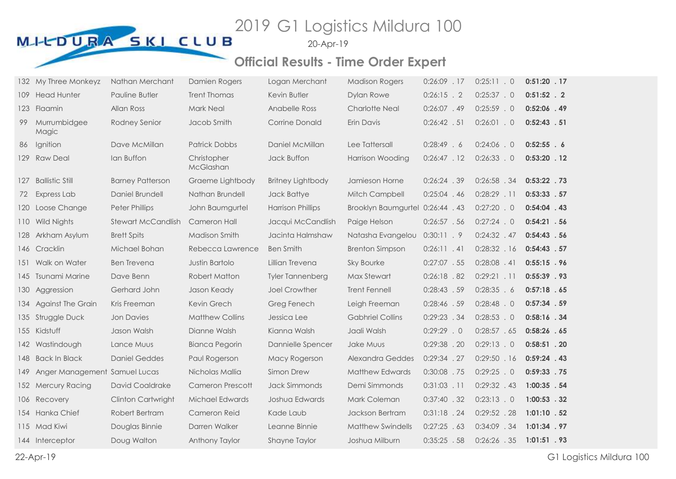20-Apr-19

|     | 132 My Three Monkeyz          | Nathan Merchant         | Damien Rogers            | Logan Merchant           | <b>Madison Rogers</b>            | $0:26:09$ . 17 | $0:25:11$ . 0  | $0:51:20$ . 17 |  |
|-----|-------------------------------|-------------------------|--------------------------|--------------------------|----------------------------------|----------------|----------------|----------------|--|
| 109 | <b>Head Hunter</b>            | Pauline Butler          | <b>Trent Thomas</b>      | Kevin Butler             | Dylan Rowe                       | $0:26:15$ . 2  | 0:25:37.0      | $0:51:52$ . 2  |  |
| 123 | <b>Flaamin</b>                | Allan Ross              | Mark Neal                | Anabelle Ross            | <b>Charlotte Neal</b>            | $0:26:07$ . 49 | $0:25:59$ . 0  | $0:52:06$ . 49 |  |
| 99  | Murrumbidgee<br>Magic         | Rodney Senior           | Jacob Smith              | <b>Corrine Donald</b>    | Erin Davis                       | $0:26:42$ . 51 | $0:26:01$ . 0  | $0:52:43$ . 51 |  |
| 86  | Ignition                      | Dave McMillan           | <b>Patrick Dobbs</b>     | Daniel McMillan          | Lee Tattersall                   | 0:28:49.6      | $0:24:06$ . 0  | $0:52:55$ . 6  |  |
|     | 129 Raw Deal                  | lan Buffon              | Christopher<br>McGlashan | Jack Buffon              | <b>Harrison Wooding</b>          | 0:26:47.12     | $0:26:33$ . 0  | $0:53:20$ . 12 |  |
| 127 | <b>Ballistic Still</b>        | <b>Barney Patterson</b> | Graeme Lightbody         | <b>Britney Lightbody</b> | Jamieson Horne                   | $0:26:24$ . 39 | $0:26:58$ . 34 | $0:53:22$ . 73 |  |
| 72  | Express Lab                   | Daniel Brundell         | Nathan Brundell          | Jack Battye              | Mitch Campbell                   | $0:25:04$ . 46 | $0:28:29$ . 11 | 0:53:33.57     |  |
| 120 | Loose Change                  | <b>Peter Phillips</b>   | John Baumgurtel          | <b>Harrison Phillips</b> | Brooklyn Baumgurtel 0:26:44 . 43 |                | $0:27:20$ . 0  | $0:54:04$ . 43 |  |
| 110 | Wild Nights                   | Stewart McCandlish      | Cameron Hall             | Jacqui McCandlish        | Paige Helson                     | 0:26:57.56     | 0:27:24.0      | $0:54:21$ . 56 |  |
| 128 | Arkham Asylum                 | <b>Brett Spits</b>      | Madison Smith            | Jacinta Halmshaw         | Natasha Evangelou 0:30:11 . 9    |                | $0:24:32$ . 47 | $0:54:43$ . 56 |  |
|     | 146 Cracklin                  | Michael Bohan           | Rebecca Lawrence         | <b>Ben Smith</b>         | <b>Brenton Simpson</b>           | 0:26:11.41     | 0:28:32.16     | $0:54:43$ . 57 |  |
|     | 151 Walk on Water             | <b>Ben Trevena</b>      | Justin Bartolo           | Lillian Trevena          | <b>Sky Bourke</b>                | $0:27:07$ . 55 | $0:28:08$ . 41 | $0:55:15$ . 96 |  |
| 145 | <b>Tsunami Marine</b>         | Dave Benn               | <b>Robert Matton</b>     | Tyler Tannenberg         | Max Stewart                      | 0:26:18.82     | 0:29:21.11     | $0:55:39$ . 93 |  |
| 130 | Aggression                    | Gerhard John            | Jason Keady              | Joel Crowther            | <b>Trent Fennell</b>             | 0:28:43.59     | 0:28:35.6      | $0:57:18$ . 65 |  |
| 134 | <b>Against The Grain</b>      | Kris Freeman            | Kevin Grech              | Greg Fenech              | Leigh Freeman                    | 0:28:46 .59    | $0:28:48$ . 0  | $0:57:34$ . 59 |  |
|     | 135 Struggle Duck             | <b>Jon Davies</b>       | <b>Matthew Collins</b>   | Jessica Lee              | <b>Gabhriel Collins</b>          | 0:29:23.34     | $0:28:53$ . 0  | $0:58:16$ . 34 |  |
|     | 155 Kidstuff                  | Jason Walsh             | Dianne Walsh             | Kianna Walsh             | Jaali Walsh                      | 0:29:29.0      | 0:28:57.65     | 0:58:26 .65    |  |
|     | 142 Wastindough               | Lance Muus              | <b>Bianca Pegorin</b>    | Dannielle Spencer        | Jake Muus                        | 0:29:38 .20    | 0:29:13.0      | $0:58:51$ . 20 |  |
|     | 148 Back In Black             | <b>Daniel Geddes</b>    | Paul Rogerson            | Macy Rogerson            | Alexandra Geddes                 | 0:29:34.27     | 0:29:50.16     | $0:59:24$ . 43 |  |
| 149 | Anger Management Samuel Lucas |                         | Nicholas Mallia          | Simon Drew               | <b>Matthew Edwards</b>           | 0:30:08 .75    | $0:29:25$ . 0  | $0:59:33$ . 75 |  |
|     | 152 Mercury Racing            | David Coaldrake         | <b>Cameron Prescott</b>  | <b>Jack Simmonds</b>     | Demi Simmonds                    | $0:31:03$ . 11 | $0:29:32$ . 43 | 1:00:35 .54    |  |
|     | 106 Recovery                  | Clinton Cartwright      | Michael Edwards          | Joshua Edwards           | Mark Coleman                     | $0:37:40$ . 32 | $0:23:13$ . 0  | $1:00:53$ . 32 |  |
|     | 154 Hanka Chief               | Robert Bertram          | Cameron Reid             | Kade Laub                | Jackson Bertram                  | 0:31:18.24     | $0:29:52$ .28  | $1:01:10$ . 52 |  |
|     | 115 Mad Kiwi                  | Douglas Binnie          | Darren Walker            | Leanne Binnie            | <b>Matthew Swindells</b>         | $0:27:25$ . 63 | 0:34:09 .34    | 1:01:34 . 97   |  |
|     | 144 Interceptor               | Doug Walton             | Anthony Taylor           | Shayne Taylor            | Joshua Milburn                   | 0:35:25.58     | $0:26:26$ . 35 | $1:01:51$ . 93 |  |
|     |                               |                         |                          |                          |                                  |                |                |                |  |